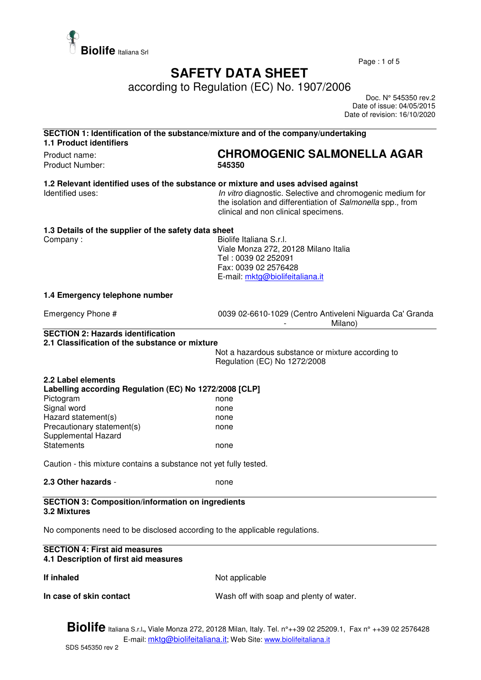

Page : 1 of 5

## **SAFETY DATA SHEET**

according to Regulation (EC) No. 1907/2006

 Doc. N° 545350 rev.2 Date of issue: 04/05/2015 Date of revision: 16/10/2020

| SECTION 1: Identification of the substance/mixture and of the company/undertaking<br><b>1.1 Product identifiers</b> |                                                                                                                                                                 |  |
|---------------------------------------------------------------------------------------------------------------------|-----------------------------------------------------------------------------------------------------------------------------------------------------------------|--|
| Product name:                                                                                                       | <b>CHROMOGENIC SALMONELLA AGAR</b>                                                                                                                              |  |
| Product Number:                                                                                                     | 545350                                                                                                                                                          |  |
| 1.2 Relevant identified uses of the substance or mixture and uses advised against<br>Identified uses:               | In vitro diagnostic. Selective and chromogenic medium for<br>the isolation and differentiation of Salmonella spp., from<br>clinical and non clinical specimens. |  |
| 1.3 Details of the supplier of the safety data sheet                                                                |                                                                                                                                                                 |  |
| Company:                                                                                                            | Biolife Italiana S.r.I.                                                                                                                                         |  |
|                                                                                                                     | Viale Monza 272, 20128 Milano Italia                                                                                                                            |  |
|                                                                                                                     | Tel: 0039 02 252091                                                                                                                                             |  |
|                                                                                                                     | Fax: 0039 02 2576428                                                                                                                                            |  |
|                                                                                                                     | E-mail: mktg@biolifeitaliana.it                                                                                                                                 |  |
| 1.4 Emergency telephone number                                                                                      |                                                                                                                                                                 |  |
| Emergency Phone #                                                                                                   |                                                                                                                                                                 |  |
|                                                                                                                     | 0039 02-6610-1029 (Centro Antiveleni Niguarda Ca' Granda<br>Milano)                                                                                             |  |
| <b>SECTION 2: Hazards identification</b>                                                                            |                                                                                                                                                                 |  |
| 2.1 Classification of the substance or mixture                                                                      |                                                                                                                                                                 |  |
|                                                                                                                     | Not a hazardous substance or mixture according to                                                                                                               |  |
|                                                                                                                     | Regulation (EC) No 1272/2008                                                                                                                                    |  |
| 2.2 Label elements                                                                                                  |                                                                                                                                                                 |  |
| Labelling according Regulation (EC) No 1272/2008 [CLP]                                                              |                                                                                                                                                                 |  |
| Pictogram                                                                                                           | none                                                                                                                                                            |  |
| Signal word                                                                                                         | none                                                                                                                                                            |  |
| Hazard statement(s)                                                                                                 | none                                                                                                                                                            |  |
| Precautionary statement(s)                                                                                          | none                                                                                                                                                            |  |
| Supplemental Hazard                                                                                                 |                                                                                                                                                                 |  |
| <b>Statements</b>                                                                                                   | none                                                                                                                                                            |  |
|                                                                                                                     |                                                                                                                                                                 |  |
| Caution - this mixture contains a substance not yet fully tested.                                                   |                                                                                                                                                                 |  |
| 2.3 Other hazards -                                                                                                 | none                                                                                                                                                            |  |
| <b>SECTION 3: Composition/information on ingredients</b>                                                            |                                                                                                                                                                 |  |
| <b>3.2 Mixtures</b>                                                                                                 |                                                                                                                                                                 |  |
| No components need to be disclosed according to the applicable regulations.                                         |                                                                                                                                                                 |  |
| <b>SECTION 4: First aid measures</b><br>4.1 Description of first aid measures                                       |                                                                                                                                                                 |  |
| If inhaled                                                                                                          | Not applicable                                                                                                                                                  |  |
| In case of skin contact                                                                                             | Wash off with soap and plenty of water.                                                                                                                         |  |
|                                                                                                                     |                                                                                                                                                                 |  |

**Biolife** Italiana S.r.l**.,** Viale Monza 272, 20128 Milan, Italy. Tel. n°++39 02 25209.1, Fax n° ++39 02 2576428 E-mail: mktg@biolifeitaliana.it; Web Site: www.biolifeitaliana.it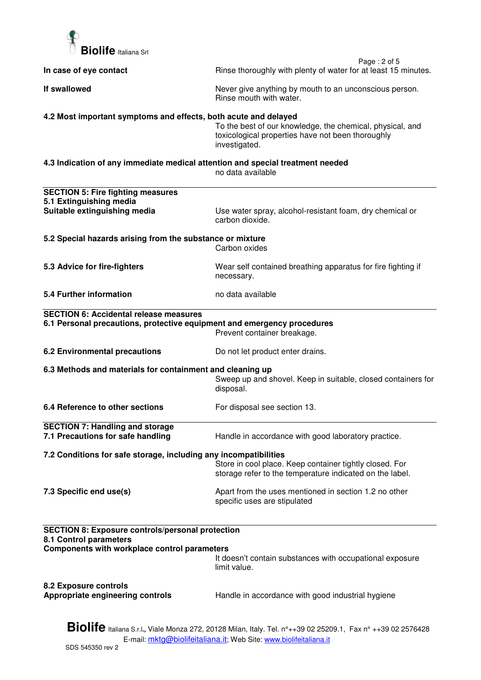

| In case of eye contact                                                                                                                                                                   | Page: 2 of 5<br>Rinse thoroughly with plenty of water for at least 15 minutes.                                                  |  |
|------------------------------------------------------------------------------------------------------------------------------------------------------------------------------------------|---------------------------------------------------------------------------------------------------------------------------------|--|
| If swallowed                                                                                                                                                                             | Never give anything by mouth to an unconscious person.<br>Rinse mouth with water.                                               |  |
| 4.2 Most important symptoms and effects, both acute and delayed                                                                                                                          | To the best of our knowledge, the chemical, physical, and<br>toxicological properties have not been thoroughly<br>investigated. |  |
| 4.3 Indication of any immediate medical attention and special treatment needed                                                                                                           | no data available                                                                                                               |  |
| <b>SECTION 5: Fire fighting measures</b>                                                                                                                                                 |                                                                                                                                 |  |
| 5.1 Extinguishing media<br>Suitable extinguishing media                                                                                                                                  | Use water spray, alcohol-resistant foam, dry chemical or<br>carbon dioxide.                                                     |  |
| 5.2 Special hazards arising from the substance or mixture                                                                                                                                | Carbon oxides                                                                                                                   |  |
| 5.3 Advice for fire-fighters                                                                                                                                                             | Wear self contained breathing apparatus for fire fighting if<br>necessary.                                                      |  |
| 5.4 Further information                                                                                                                                                                  | no data available                                                                                                               |  |
| <b>SECTION 6: Accidental release measures</b>                                                                                                                                            |                                                                                                                                 |  |
| 6.1 Personal precautions, protective equipment and emergency procedures                                                                                                                  | Prevent container breakage.                                                                                                     |  |
| <b>6.2 Environmental precautions</b>                                                                                                                                                     | Do not let product enter drains.                                                                                                |  |
| 6.3 Methods and materials for containment and cleaning up                                                                                                                                | Sweep up and shovel. Keep in suitable, closed containers for<br>disposal.                                                       |  |
| 6.4 Reference to other sections                                                                                                                                                          | For disposal see section 13.                                                                                                    |  |
| <b>SECTION 7: Handling and storage</b><br>7.1 Precautions for safe handling                                                                                                              | Handle in accordance with good laboratory practice.                                                                             |  |
| 7.2 Conditions for safe storage, including any incompatibilities                                                                                                                         |                                                                                                                                 |  |
|                                                                                                                                                                                          | Store in cool place. Keep container tightly closed. For<br>storage refer to the temperature indicated on the label.             |  |
| 7.3 Specific end use(s)                                                                                                                                                                  | Apart from the uses mentioned in section 1.2 no other<br>specific uses are stipulated                                           |  |
| <b>SECTION 8: Exposure controls/personal protection</b><br>8.1 Control parameters<br>Components with workplace control parameters                                                        |                                                                                                                                 |  |
|                                                                                                                                                                                          | It doesn't contain substances with occupational exposure<br>limit value.                                                        |  |
| 8.2 Exposure controls<br>Appropriate engineering controls                                                                                                                                | Handle in accordance with good industrial hygiene                                                                               |  |
| <b>Biolife</b> Italiana S.r.l., Viale Monza 272, 20128 Milan, Italy. Tel. n°++39 02 25209.1, Fax n° ++39 02 2576428<br>E-mail: mktg@biolifeitaliana.it; Web Site: www.biolifeitaliana.it |                                                                                                                                 |  |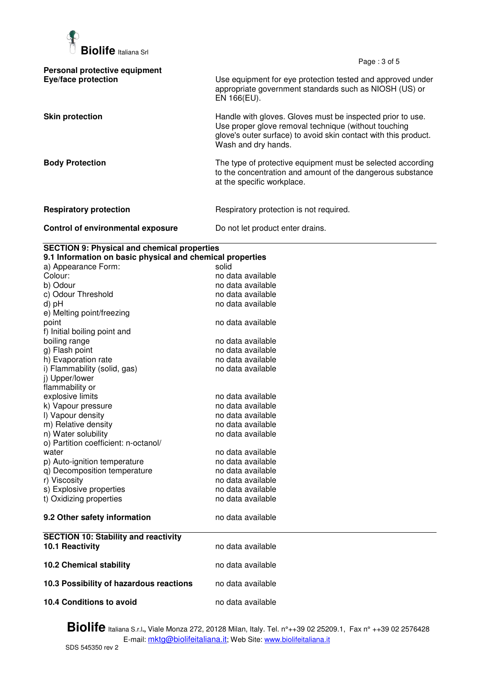

Page : 3 of 5

| Personal protective equipment<br><b>Eye/face protection</b> | Use equipment for eye protection tested and approved under<br>appropriate government standards such as NIOSH (US) or<br>EN 166(EU).                                                                          |
|-------------------------------------------------------------|--------------------------------------------------------------------------------------------------------------------------------------------------------------------------------------------------------------|
| <b>Skin protection</b>                                      | Handle with gloves. Gloves must be inspected prior to use.<br>Use proper glove removal technique (without touching<br>glove's outer surface) to avoid skin contact with this product.<br>Wash and dry hands. |
| <b>Body Protection</b>                                      | The type of protective equipment must be selected according<br>to the concentration and amount of the dangerous substance<br>at the specific workplace.                                                      |
| <b>Respiratory protection</b>                               | Respiratory protection is not required.                                                                                                                                                                      |
| Control of environmental exposure                           | Do not let product enter drains.                                                                                                                                                                             |

## **SECTION 9: Physical and chemical properties**

| 9.1 Information on basic physical and chemical properties |                   |  |
|-----------------------------------------------------------|-------------------|--|
| a) Appearance Form:                                       | solid             |  |
| Colour:                                                   | no data available |  |
| b) Odour                                                  | no data available |  |
| c) Odour Threshold                                        | no data available |  |
| d) pH                                                     | no data available |  |
| e) Melting point/freezing                                 |                   |  |
| point                                                     | no data available |  |
| f) Initial boiling point and                              |                   |  |
| boiling range                                             | no data available |  |
| g) Flash point                                            | no data available |  |
| h) Evaporation rate                                       | no data available |  |
| i) Flammability (solid, gas)                              | no data available |  |
| j) Upper/lower                                            |                   |  |
| flammability or                                           |                   |  |
| explosive limits                                          | no data available |  |
| k) Vapour pressure                                        | no data available |  |
| I) Vapour density                                         | no data available |  |
| m) Relative density                                       | no data available |  |
| n) Water solubility                                       | no data available |  |
| o) Partition coefficient: n-octanol/                      |                   |  |
| water                                                     | no data available |  |
| p) Auto-ignition temperature                              | no data available |  |
| q) Decomposition temperature                              | no data available |  |
| r) Viscosity                                              | no data available |  |
| s) Explosive properties                                   | no data available |  |
| t) Oxidizing properties                                   | no data available |  |
|                                                           |                   |  |
| 9.2 Other safety information                              | no data available |  |
|                                                           |                   |  |
| <b>SECTION 10: Stability and reactivity</b>               |                   |  |
| 10.1 Reactivity                                           | no data available |  |
|                                                           |                   |  |
| <b>10.2 Chemical stability</b>                            | no data available |  |
|                                                           |                   |  |
| 10.3 Possibility of hazardous reactions                   | no data available |  |
|                                                           |                   |  |
| 10.4 Conditions to avoid                                  | no data available |  |
|                                                           |                   |  |

**Biolife** Italiana S.r.l**.,** Viale Monza 272, 20128 Milan, Italy. Tel. n°++39 02 25209.1, Fax n° ++39 02 2576428 E-mail: <u>mktg@biolifeitaliana.it</u>; Web Site: www.biolifeitaliana.it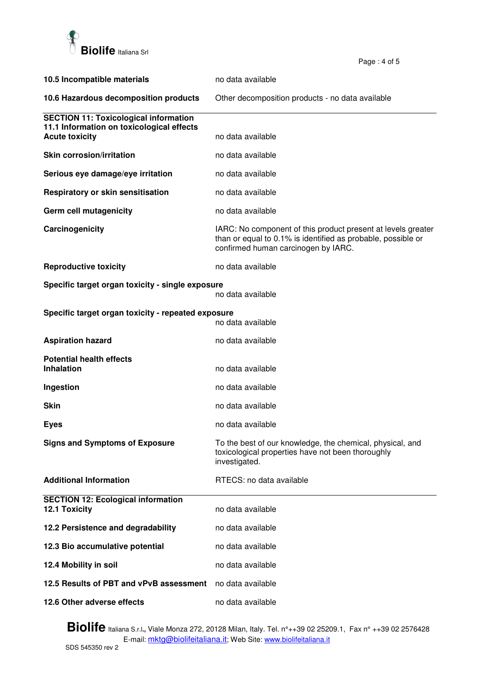

**10.5 Incompatible materials** no data available **10.6 Hazardous decomposition products** Other decomposition products - no data available **SECTION 11: Toxicological information 11.1 Information on toxicological effects Acute toxicity** no data available **Skin corrosion/irritation no data available Serious eve damage/eve irritation no data available Respiratory or skin sensitisation no data available Germ cell mutagenicity no data available Carcinogenicity IARC:** No component of this product present at levels greater than or equal to 0.1% is identified as probable, possible or confirmed human carcinogen by IARC. **Reproductive toxicity no data available Specific target organ toxicity - single exposure**  no data available **Specific target organ toxicity - repeated exposure**  no data available **Aspiration hazard no data available no data available Potential health effects Inhalation** no data available **Ingestion no data available Skin no data available Eves Exercise 2018 no data available Signs and Symptoms of Exposure** To the best of our knowledge, the chemical, physical, and toxicological properties have not been thoroughly investigated. **Additional Information RTECS: no data available SECTION 12: Ecological information 12.1 Toxicity** no data available **12.2 Persistence and degradability** no data available **12.3 Bio accumulative potential example 3 and 12.3 Bio accumulative potential 12.4 Mobility in soil no data available 12.5 Results of PBT and vPvB assessment** no data available **12.6 Other adverse effects** no data available

Page : 4 of 5

**Biolife** Italiana S.r.l**.,** Viale Monza 272, 20128 Milan, Italy. Tel. n°++39 02 25209.1, Fax n° ++39 02 2576428 E-mail: mktg@biolifeitaliana.it; Web Site: www.biolifeitaliana.it